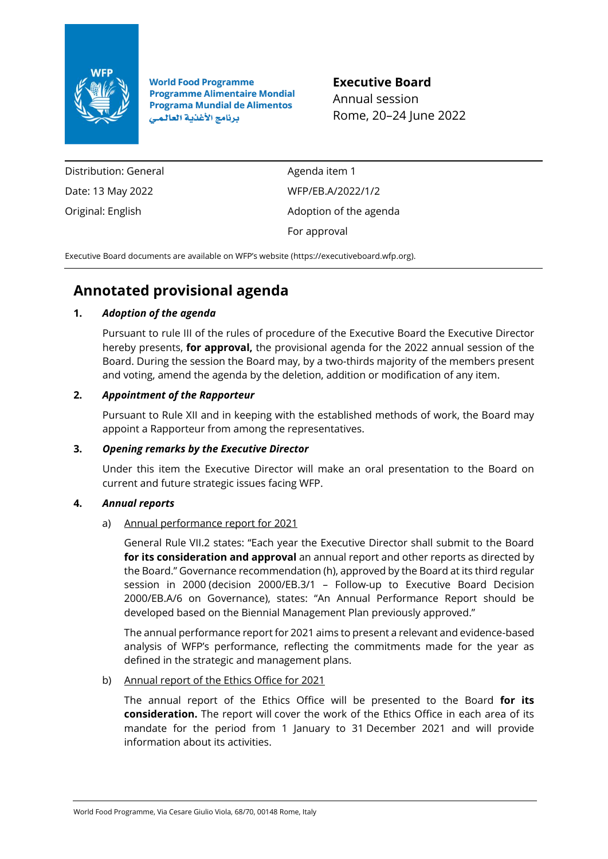

**World Food Programme Programme Alimentaire Mondial Programa Mundial de Alimentos** برنامج الأغذية العالمي

**Executive Board**

Annual session Rome, 20–24 June 2022

Distribution: General Date: 13 May 2022 Original: English

Agenda item 1 WFP/EB.A/2022/1/2 Adoption of the agenda For approval

Executive Board documents are available on WFP's website ([https://executiveboard.wfp.org\)](https://executiveboard.wfp.org/).

# **Annotated provisional agenda**

# **1.** *Adoption of the agenda*

Pursuant to rule III of the rules of procedure of the Executive Board the Executive Director hereby presents, **for approval,** the provisional agenda for the 2022 annual session of the Board. During the session the Board may, by a two-thirds majority of the members present and voting, amend the agenda by the deletion, addition or modification of any item.

# **2.** *Appointment of the Rapporteur*

Pursuant to Rule XII and in keeping with the established methods of work, the Board may appoint a Rapporteur from among the representatives.

# **3.** *Opening remarks by the Executive Director*

Under this item the Executive Director will make an oral presentation to the Board on current and future strategic issues facing WFP.

# **4.** *Annual reports*

# a) Annual performance report for 2021

General Rule VII.2 states: "Each year the Executive Director shall submit to the Board **for its consideration and approval** an annual report and other reports as directed by the Board." Governance recommendation (h), approved by the Board at its third regular session in 2000 (decision 2000/EB.3/1 – Follow-up to Executive Board Decision 2000/EB.A/6 on Governance), states: "An Annual Performance Report should be developed based on the Biennial Management Plan previously approved."

The annual performance report for 2021 aims to present a relevant and evidence-based analysis of WFP's performance, reflecting the commitments made for the year as defined in the strategic and management plans.

# b) Annual report of the Ethics Office for 2021

The annual report of the Ethics Office will be presented to the Board **for its consideration.** The report will cover the work of the Ethics Office in each area of its mandate for the period from 1 January to 31 December 2021 and will provide information about its activities.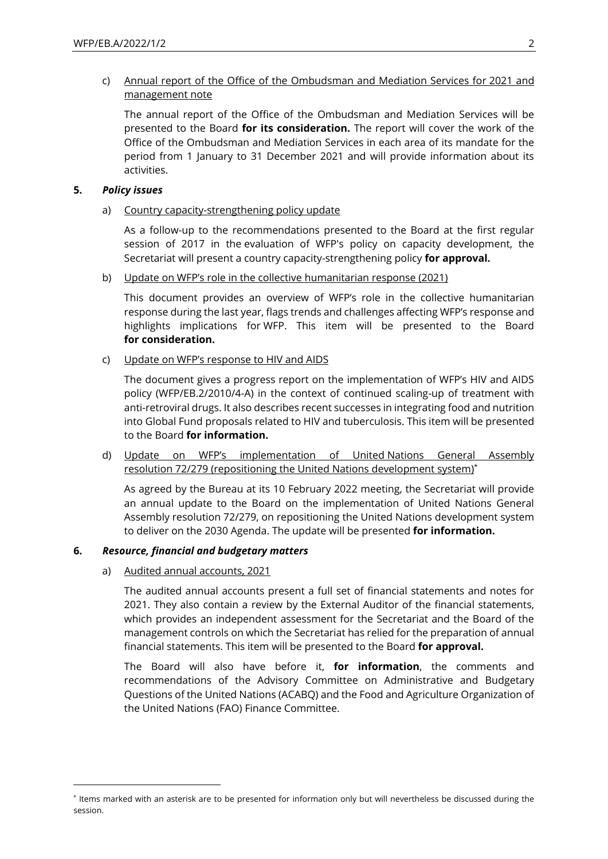# c) Annual report of the Office of the Ombudsman and Mediation Services for 2021 and management note

The annual report of the Office of the Ombudsman and Mediation Services will be presented to the Board **for its consideration.** The report will cover the work of the Office of the Ombudsman and Mediation Services in each area of its mandate for the period from 1 January to 31 December 2021 and will provide information about its activities.

## **5.** *Policy issues*

a) Country capacity-strengthening policy update

As a follow-up to the recommendations presented to the Board at the first regular session of 2017 in the evaluation of WFP's policy on capacity development, the Secretariat will present a country capacity-strengthening policy **for approval.**

b) Update on WFP's role in the collective humanitarian response (2021)

This document provides an overview of WFP's role in the collective humanitarian response during the last year, flags trends and challenges affecting WFP's response and highlights implications for WFP. This item will be presented to the Board **for consideration.**

c) Update on WFP's response to HIV and AIDS

The document gives a progress report on the implementation of WFP's HIV and AIDS policy (WFP/EB.2/2010/4-A) in the context of continued scaling-up of treatment with anti-retroviral drugs. It also describes recent successes in integrating food and nutrition into Global Fund proposals related to HIV and tuberculosis. This item will be presented to the Board **for information.**

d) Update on WFP's implementation of United Nations General Assembly resolution 72/279 (repositioning the United Nations development system)\*

As agreed by the Bureau at its 10 February 2022 meeting, the Secretariat will provide an annual update to the Board on the implementation of United Nations General Assembly resolution 72/279, on repositioning the United Nations development system to deliver on the 2030 Agenda. The update will be presented **for information.**

# **6.** *Resource, financial and budgetary matters*

a) Audited annual accounts, 2021

The audited annual accounts present a full set of financial statements and notes for 2021. They also contain a review by the External Auditor of the financial statements, which provides an independent assessment for the Secretariat and the Board of the management controls on which the Secretariat has relied for the preparation of annual financial statements. This item will be presented to the Board **for approval.**

The Board will also have before it, **for information**, the comments and recommendations of the Advisory Committee on Administrative and Budgetary Questions of the United Nations (ACABQ) and the Food and Agriculture Organization of the United Nations (FAO) Finance Committee.

<sup>\*</sup> Items marked with an asterisk are to be presented for information only but will nevertheless be discussed during the session.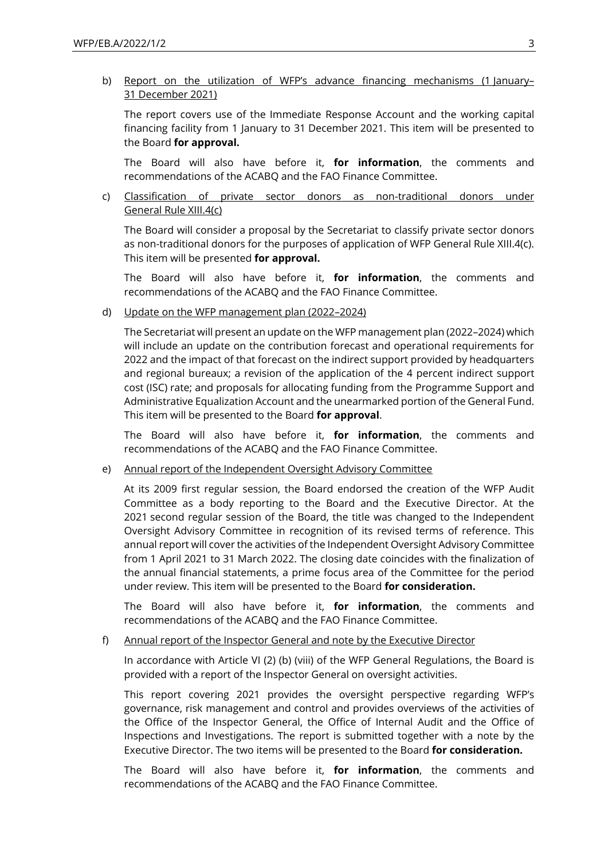### b) Report on the utilization of WFP's advance financing mechanisms (1 January– 31 December 2021)

The report covers use of the Immediate Response Account and the working capital financing facility from 1 January to 31 December 2021. This item will be presented to the Board **for approval.**

The Board will also have before it, **for information**, the comments and recommendations of the ACABQ and the FAO Finance Committee.

c) Classification of private sector donors as non-traditional donors under General Rule XIII.4(c)

The Board will consider a proposal by the Secretariat to classify private sector donors as non-traditional donors for the purposes of application of WFP General Rule XIII.4(c). This item will be presented **for approval.**

The Board will also have before it, **for information**, the comments and recommendations of the ACABQ and the FAO Finance Committee.

d) Update on the WFP management plan (2022–2024)

The Secretariat will present an update on the WFP management plan (2022–2024) which will include an update on the contribution forecast and operational requirements for 2022 and the impact of that forecast on the indirect support provided by headquarters and regional bureaux; a revision of the application of the 4 percent indirect support cost (ISC) rate; and proposals for allocating funding from the Programme Support and Administrative Equalization Account and the unearmarked portion of the General Fund. This item will be presented to the Board **for approval**.

The Board will also have before it, **for information**, the comments and recommendations of the ACABQ and the FAO Finance Committee.

e) Annual report of the Independent Oversight Advisory Committee

At its 2009 first regular session, the Board endorsed the creation of the WFP Audit Committee as a body reporting to the Board and the Executive Director. At the 2021 second regular session of the Board, the title was changed to the Independent Oversight Advisory Committee in recognition of its revised terms of reference. This annual report will cover the activities of the Independent Oversight Advisory Committee from 1 April 2021 to 31 March 2022. The closing date coincides with the finalization of the annual financial statements, a prime focus area of the Committee for the period under review. This item will be presented to the Board **for consideration.**

The Board will also have before it, **for information**, the comments and recommendations of the ACABQ and the FAO Finance Committee.

f) Annual report of the Inspector General and note by the Executive Director

In accordance with Article VI (2) (b) (viii) of the WFP General Regulations, the Board is provided with a report of the Inspector General on oversight activities.

This report covering 2021 provides the oversight perspective regarding WFP's governance, risk management and control and provides overviews of the activities of the Office of the Inspector General, the Office of Internal Audit and the Office of Inspections and Investigations. The report is submitted together with a note by the Executive Director. The two items will be presented to the Board **for consideration.**

The Board will also have before it, **for information**, the comments and recommendations of the ACABQ and the FAO Finance Committee.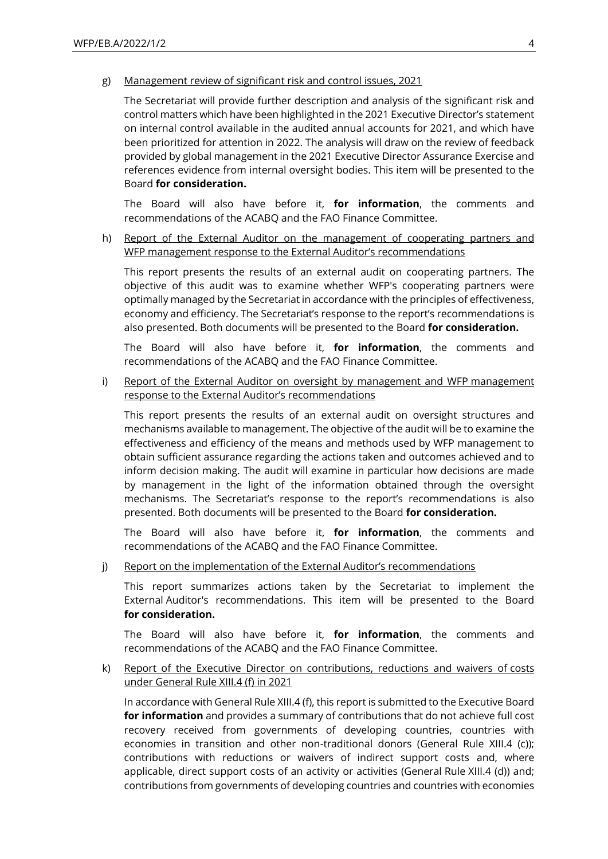#### g) Management review of significant risk and control issues, 2021

The Secretariat will provide further description and analysis of the significant risk and control matters which have been highlighted in the 2021 Executive Director's statement on internal control available in the audited annual accounts for 2021, and which have been prioritized for attention in 2022. The analysis will draw on the review of feedback provided by global management in the 2021 Executive Director Assurance Exercise and references evidence from internal oversight bodies. This item will be presented to the Board **for consideration.**

The Board will also have before it, **for information**, the comments and recommendations of the ACABQ and the FAO Finance Committee.

h) Report of the External Auditor on the management of cooperating partners and WFP management response to the External Auditor's recommendations

This report presents the results of an external audit on cooperating partners. The objective of this audit was to examine whether WFP's cooperating partners were optimally managed by the Secretariat in accordance with the principles of effectiveness, economy and efficiency. The Secretariat's response to the report's recommendations is also presented. Both documents will be presented to the Board **for consideration.**

The Board will also have before it, **for information**, the comments and recommendations of the ACABQ and the FAO Finance Committee.

### i) Report of the External Auditor on oversight by management and WFP management response to the External Auditor's recommendations

This report presents the results of an external audit on oversight structures and mechanisms available to management. The objective of the audit will be to examine the effectiveness and efficiency of the means and methods used by WFP management to obtain sufficient assurance regarding the actions taken and outcomes achieved and to inform decision making. The audit will examine in particular how decisions are made by management in the light of the information obtained through the oversight mechanisms. The Secretariat's response to the report's recommendations is also presented. Both documents will be presented to the Board **for consideration.**

The Board will also have before it, **for information**, the comments and recommendations of the ACABQ and the FAO Finance Committee.

j) Report on the implementation of the External Auditor's recommendations

This report summarizes actions taken by the Secretariat to implement the External Auditor's recommendations. This item will be presented to the Board **for consideration.**

The Board will also have before it, **for information**, the comments and recommendations of the ACABQ and the FAO Finance Committee.

## k) Report of the Executive Director on contributions, reductions and waivers of costs under General Rule XIII.4 (f) in 2021

In accordance with General Rule XIII.4 (f), this report is submitted to the Executive Board **for information** and provides a summary of contributions that do not achieve full cost recovery received from governments of developing countries, countries with economies in transition and other non-traditional donors (General Rule XIII.4 (c)); contributions with reductions or waivers of indirect support costs and, where applicable, direct support costs of an activity or activities (General Rule XIII.4 (d)) and; contributions from governments of developing countries and countries with economies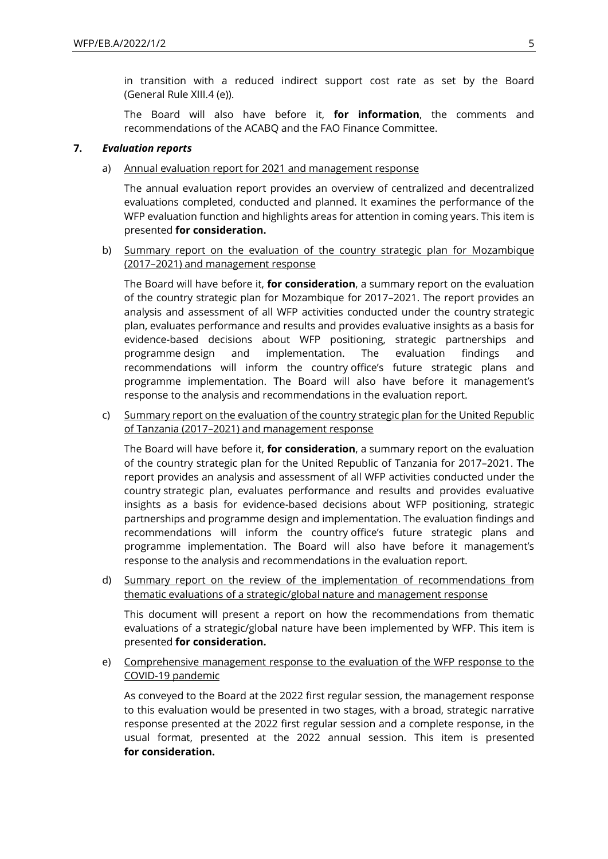in transition with a reduced indirect support cost rate as set by the Board (General Rule XIII.4 (e)).

The Board will also have before it, **for information**, the comments and recommendations of the ACABQ and the FAO Finance Committee.

#### **7.** *Evaluation reports*

a) Annual evaluation report for 2021 and management response

The annual evaluation report provides an overview of centralized and decentralized evaluations completed, conducted and planned. It examines the performance of the WFP evaluation function and highlights areas for attention in coming years. This item is presented **for consideration.**

b) Summary report on the evaluation of the country strategic plan for Mozambique (2017–2021) and management response

The Board will have before it, **for consideration**, a summary report on the evaluation of the country strategic plan for Mozambique for 2017–2021. The report provides an analysis and assessment of all WFP activities conducted under the country strategic plan, evaluates performance and results and provides evaluative insights as a basis for evidence-based decisions about WFP positioning, strategic partnerships and programme design and implementation. The evaluation findings and recommendations will inform the country office's future strategic plans and programme implementation. The Board will also have before it management's response to the analysis and recommendations in the evaluation report.

c) Summary report on the evaluation of the country strategic plan for the United Republic of Tanzania (2017–2021) and management response

The Board will have before it, **for consideration**, a summary report on the evaluation of the country strategic plan for the United Republic of Tanzania for 2017–2021. The report provides an analysis and assessment of all WFP activities conducted under the country strategic plan, evaluates performance and results and provides evaluative insights as a basis for evidence-based decisions about WFP positioning, strategic partnerships and programme design and implementation. The evaluation findings and recommendations will inform the country office's future strategic plans and programme implementation. The Board will also have before it management's response to the analysis and recommendations in the evaluation report.

d) Summary report on the review of the implementation of recommendations from thematic evaluations of a strategic/global nature and management response

This document will present a report on how the recommendations from thematic evaluations of a strategic/global nature have been implemented by WFP. This item is presented **for consideration.**

e) Comprehensive management response to the evaluation of the WFP response to the COVID-19 pandemic

As conveyed to the Board at the 2022 first regular session, the management response to this evaluation would be presented in two stages, with a broad, strategic narrative response presented at the 2022 first regular session and a complete response, in the usual format, presented at the 2022 annual session. This item is presented **for consideration.**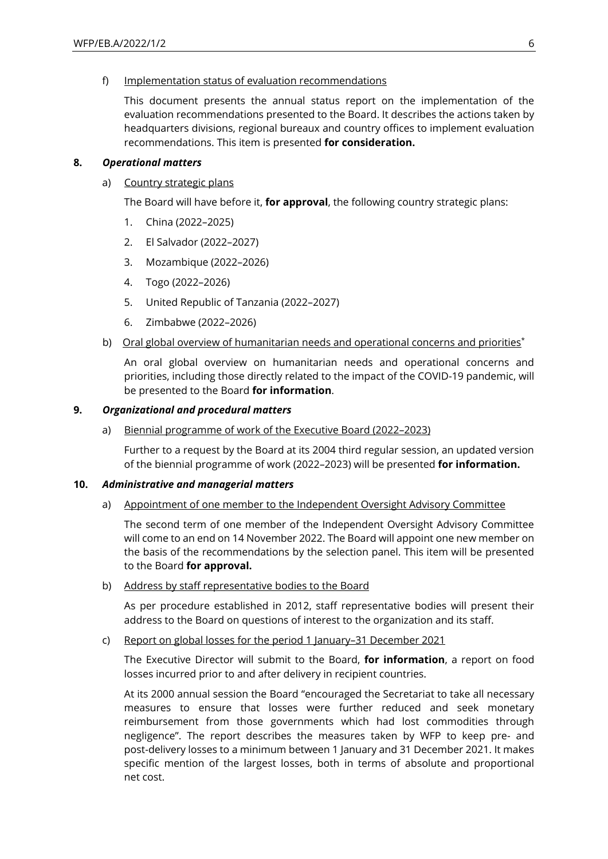f) Implementation status of evaluation recommendations

This document presents the annual status report on the implementation of the evaluation recommendations presented to the Board. It describes the actions taken by headquarters divisions, regional bureaux and country offices to implement evaluation recommendations. This item is presented **for consideration.**

## **8.** *Operational matters*

a) Country strategic plans

The Board will have before it, **for approval**, the following country strategic plans:

- 1. China (2022–2025)
- 2. El Salvador (2022–2027)
- 3. Mozambique (2022–2026)
- 4. Togo (2022–2026)
- 5. United Republic of Tanzania (2022–2027)
- 6. Zimbabwe (2022–2026)
- b) Oral global overview of humanitarian needs and operational concerns and priorities<sup>\*</sup>

An oral global overview on humanitarian needs and operational concerns and priorities, including those directly related to the impact of the COVID-19 pandemic, will be presented to the Board **for information**.

## **9.** *Organizational and procedural matters*

a) Biennial programme of work of the Executive Board (2022–2023)

Further to a request by the Board at its 2004 third regular session, an updated version of the biennial programme of work (2022–2023) will be presented **for information.**

# **10.** *Administrative and managerial matters*

a) Appointment of one member to the Independent Oversight Advisory Committee

The second term of one member of the Independent Oversight Advisory Committee will come to an end on 14 November 2022. The Board will appoint one new member on the basis of the recommendations by the selection panel. This item will be presented to the Board **for approval.**

b) Address by staff representative bodies to the Board

As per procedure established in 2012, staff representative bodies will present their address to the Board on questions of interest to the organization and its staff.

# c) Report on global losses for the period 1 January–31 December 2021

The Executive Director will submit to the Board, **for information**, a report on food losses incurred prior to and after delivery in recipient countries.

At its 2000 annual session the Board "encouraged the Secretariat to take all necessary measures to ensure that losses were further reduced and seek monetary reimbursement from those governments which had lost commodities through negligence". The report describes the measures taken by WFP to keep pre- and post-delivery losses to a minimum between 1 January and 31 December 2021. It makes specific mention of the largest losses, both in terms of absolute and proportional net cost.